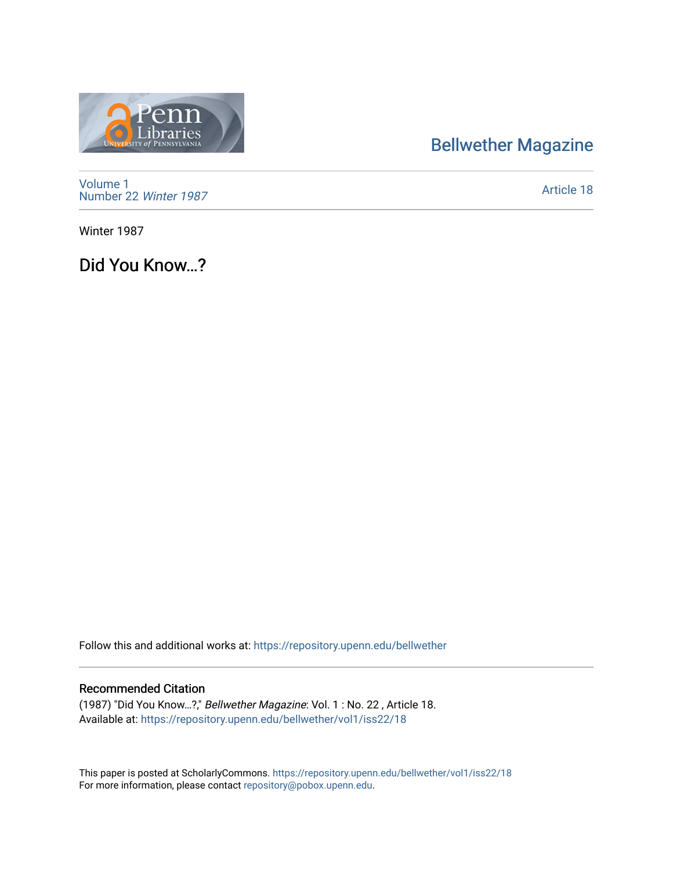## [Bellwether Magazine](https://repository.upenn.edu/bellwether)



[Volume 1](https://repository.upenn.edu/bellwether/vol1) [Number 22](https://repository.upenn.edu/bellwether/vol1/iss22) Winter 1987

[Article 18](https://repository.upenn.edu/bellwether/vol1/iss22/18) 

Winter 1987

Did You Know…?

Follow this and additional works at: [https://repository.upenn.edu/bellwether](https://repository.upenn.edu/bellwether?utm_source=repository.upenn.edu%2Fbellwether%2Fvol1%2Fiss22%2F18&utm_medium=PDF&utm_campaign=PDFCoverPages) 

## Recommended Citation

(1987) "Did You Know…?," Bellwether Magazine: Vol. 1 : No. 22 , Article 18. Available at: [https://repository.upenn.edu/bellwether/vol1/iss22/18](https://repository.upenn.edu/bellwether/vol1/iss22/18?utm_source=repository.upenn.edu%2Fbellwether%2Fvol1%2Fiss22%2F18&utm_medium=PDF&utm_campaign=PDFCoverPages) 

This paper is posted at ScholarlyCommons.<https://repository.upenn.edu/bellwether/vol1/iss22/18> For more information, please contact [repository@pobox.upenn.edu.](mailto:repository@pobox.upenn.edu)